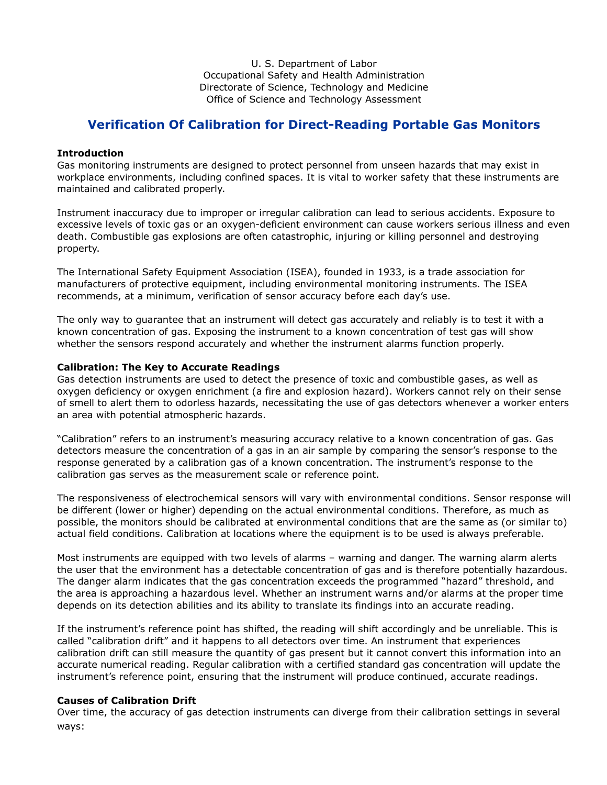U. S. Department of Labor Occupational Safety and Health Administration Directorate of Science, Technology and Medicine Office of Science and Technology Assessment

# **Verification Of Calibration for Direct-Reading Portable Gas Monitors**

### **Introduction**

Gas monitoring instruments are designed to protect personnel from unseen hazards that may exist in workplace environments, including confined spaces. It is vital to worker safety that these instruments are maintained and calibrated properly.

Instrument inaccuracy due to improper or irregular calibration can lead to serious accidents. Exposure to excessive levels of toxic gas or an oxygen-deficient environment can cause workers serious illness and even death. Combustible gas explosions are often catastrophic, injuring or killing personnel and destroying property.

The International Safety Equipment Association (ISEA), founded in 1933, is a trade association for manufacturers of protective equipment, including environmental monitoring instruments. The ISEA recommends, at a minimum, verification of sensor accuracy before each day's use.

The only way to guarantee that an instrument will detect gas accurately and reliably is to test it with a known concentration of gas. Exposing the instrument to a known concentration of test gas will show whether the sensors respond accurately and whether the instrument alarms function properly.

#### **Calibration: The Key to Accurate Readings**

Gas detection instruments are used to detect the presence of toxic and combustible gases, as well as oxygen deficiency or oxygen enrichment (a fire and explosion hazard). Workers cannot rely on their sense of smell to alert them to odorless hazards, necessitating the use of gas detectors whenever a worker enters an area with potential atmospheric hazards.

"Calibration" refers to an instrument's measuring accuracy relative to a known concentration of gas. Gas detectors measure the concentration of a gas in an air sample by comparing the sensor's response to the response generated by a calibration gas of a known concentration. The instrument's response to the calibration gas serves as the measurement scale or reference point.

The responsiveness of electrochemical sensors will vary with environmental conditions. Sensor response will be different (lower or higher) depending on the actual environmental conditions. Therefore, as much as possible, the monitors should be calibrated at environmental conditions that are the same as (or similar to) actual field conditions. Calibration at locations where the equipment is to be used is always preferable.

Most instruments are equipped with two levels of alarms – warning and danger. The warning alarm alerts the user that the environment has a detectable concentration of gas and is therefore potentially hazardous. The danger alarm indicates that the gas concentration exceeds the programmed "hazard" threshold, and the area is approaching a hazardous level. Whether an instrument warns and/or alarms at the proper time depends on its detection abilities and its ability to translate its findings into an accurate reading.

If the instrument's reference point has shifted, the reading will shift accordingly and be unreliable. This is called "calibration drift" and it happens to all detectors over time. An instrument that experiences calibration drift can still measure the quantity of gas present but it cannot convert this information into an accurate numerical reading. Regular calibration with a certified standard gas concentration will update the instrument's reference point, ensuring that the instrument will produce continued, accurate readings.

# **Causes of Calibration Drift**

Over time, the accuracy of gas detection instruments can diverge from their calibration settings in several ways: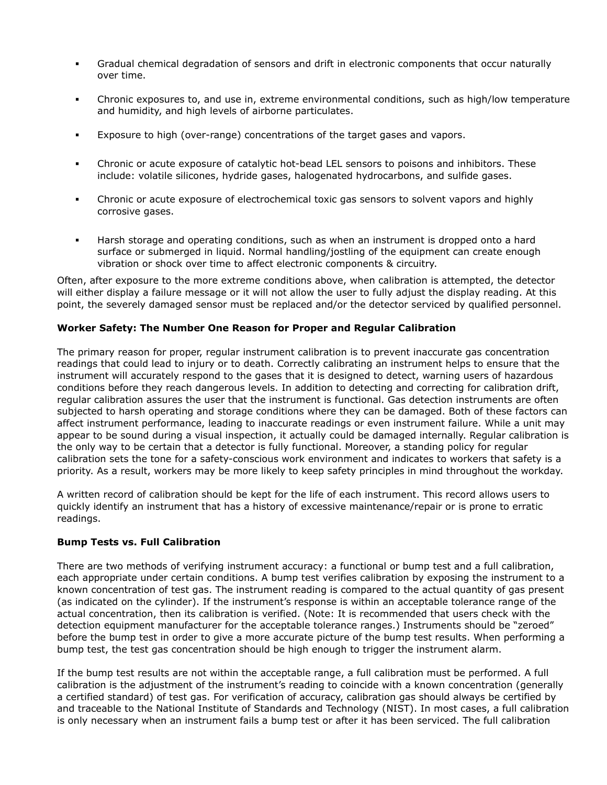- Gradual chemical degradation of sensors and drift in electronic components that occur naturally over time.
- Chronic exposures to, and use in, extreme environmental conditions, such as high/low temperature and humidity, and high levels of airborne particulates.
- Exposure to high (over-range) concentrations of the target gases and vapors.
- Chronic or acute exposure of catalytic hot-bead LEL sensors to poisons and inhibitors. These include: volatile silicones, hydride gases, halogenated hydrocarbons, and sulfide gases.
- Chronic or acute exposure of electrochemical toxic gas sensors to solvent vapors and highly corrosive gases.
- Harsh storage and operating conditions, such as when an instrument is dropped onto a hard surface or submerged in liquid. Normal handling/jostling of the equipment can create enough vibration or shock over time to affect electronic components & circuitry.

Often, after exposure to the more extreme conditions above, when calibration is attempted, the detector will either display a failure message or it will not allow the user to fully adjust the display reading. At this point, the severely damaged sensor must be replaced and/or the detector serviced by qualified personnel.

# **Worker Safety: The Number One Reason for Proper and Regular Calibration**

The primary reason for proper, regular instrument calibration is to prevent inaccurate gas concentration readings that could lead to injury or to death. Correctly calibrating an instrument helps to ensure that the instrument will accurately respond to the gases that it is designed to detect, warning users of hazardous conditions before they reach dangerous levels. In addition to detecting and correcting for calibration drift, regular calibration assures the user that the instrument is functional. Gas detection instruments are often subjected to harsh operating and storage conditions where they can be damaged. Both of these factors can affect instrument performance, leading to inaccurate readings or even instrument failure. While a unit may appear to be sound during a visual inspection, it actually could be damaged internally. Regular calibration is the only way to be certain that a detector is fully functional. Moreover, a standing policy for regular calibration sets the tone for a safety-conscious work environment and indicates to workers that safety is a priority. As a result, workers may be more likely to keep safety principles in mind throughout the workday.

A written record of calibration should be kept for the life of each instrument. This record allows users to quickly identify an instrument that has a history of excessive maintenance/repair or is prone to erratic readings.

# **Bump Tests vs. Full Calibration**

There are two methods of verifying instrument accuracy: a functional or bump test and a full calibration, each appropriate under certain conditions. A bump test verifies calibration by exposing the instrument to a known concentration of test gas. The instrument reading is compared to the actual quantity of gas present (as indicated on the cylinder). If the instrument's response is within an acceptable tolerance range of the actual concentration, then its calibration is verified. (Note: It is recommended that users check with the detection equipment manufacturer for the acceptable tolerance ranges.) Instruments should be "zeroed" before the bump test in order to give a more accurate picture of the bump test results. When performing a bump test, the test gas concentration should be high enough to trigger the instrument alarm.

If the bump test results are not within the acceptable range, a full calibration must be performed. A full calibration is the adjustment of the instrument's reading to coincide with a known concentration (generally a certified standard) of test gas. For verification of accuracy, calibration gas should always be certified by and traceable to the National Institute of Standards and Technology (NIST). In most cases, a full calibration is only necessary when an instrument fails a bump test or after it has been serviced. The full calibration